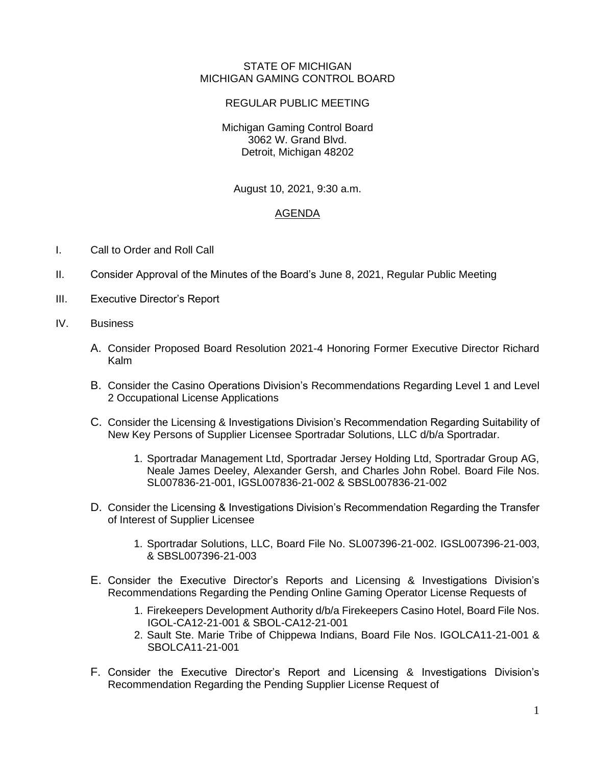## STATE OF MICHIGAN MICHIGAN GAMING CONTROL BOARD

## REGULAR PUBLIC MEETING

Michigan Gaming Control Board 3062 W. Grand Blvd. Detroit, Michigan 48202

August 10, 2021, 9:30 a.m.

## AGENDA

- I. Call to Order and Roll Call
- II. Consider Approval of the Minutes of the Board's June 8, 2021, Regular Public Meeting
- III. Executive Director's Report
- IV. Business
	- A. Consider Proposed Board Resolution 2021-4 Honoring Former Executive Director Richard Kalm
	- B. Consider the Casino Operations Division's Recommendations Regarding Level 1 and Level 2 Occupational License Applications
	- C. Consider the Licensing & Investigations Division's Recommendation Regarding Suitability of New Key Persons of Supplier Licensee Sportradar Solutions, LLC d/b/a Sportradar.
		- 1. Sportradar Management Ltd, Sportradar Jersey Holding Ltd, Sportradar Group AG, Neale James Deeley, Alexander Gersh, and Charles John Robel. Board File Nos. SL007836-21-001, IGSL007836-21-002 & SBSL007836-21-002
	- D. Consider the Licensing & Investigations Division's Recommendation Regarding the Transfer of Interest of Supplier Licensee
		- 1. Sportradar Solutions, LLC, Board File No. SL007396-21-002. IGSL007396-21-003, & SBSL007396-21-003
	- E. Consider the Executive Director's Reports and Licensing & Investigations Division's Recommendations Regarding the Pending Online Gaming Operator License Requests of
		- 1. Firekeepers Development Authority d/b/a Firekeepers Casino Hotel, Board File Nos. IGOL-CA12-21-001 & SBOL-CA12-21-001
		- 2. Sault Ste. Marie Tribe of Chippewa Indians, Board File Nos. IGOLCA11-21-001 & SBOLCA11-21-001
	- F. Consider the Executive Director's Report and Licensing & Investigations Division's Recommendation Regarding the Pending Supplier License Request of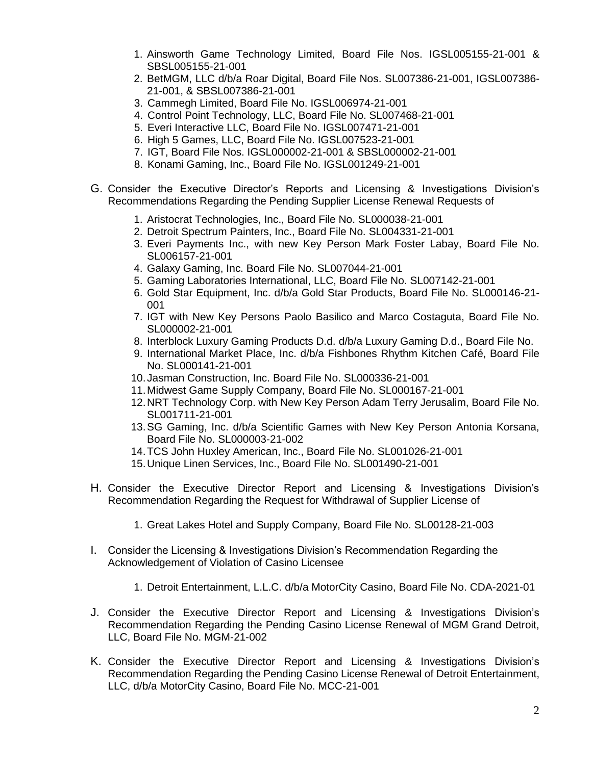- 1. Ainsworth Game Technology Limited, Board File Nos. IGSL005155-21-001 & SBSL005155-21-001
- 2. BetMGM, LLC d/b/a Roar Digital, Board File Nos. SL007386-21-001, IGSL007386- 21-001, & SBSL007386-21-001
- 3. Cammegh Limited, Board File No. IGSL006974-21-001
- 4. Control Point Technology, LLC, Board File No. SL007468-21-001
- 5. Everi Interactive LLC, Board File No. IGSL007471-21-001
- 6. High 5 Games, LLC, Board File No. IGSL007523-21-001
- 7. IGT, Board File Nos. IGSL000002-21-001 & SBSL000002-21-001
- 8. Konami Gaming, Inc., Board File No. IGSL001249-21-001
- G. Consider the Executive Director's Reports and Licensing & Investigations Division's Recommendations Regarding the Pending Supplier License Renewal Requests of
	- 1. Aristocrat Technologies, Inc., Board File No. SL000038-21-001
	- 2. Detroit Spectrum Painters, Inc., Board File No. SL004331-21-001
	- 3. Everi Payments Inc., with new Key Person Mark Foster Labay, Board File No. SL006157-21-001
	- 4. Galaxy Gaming, Inc. Board File No. SL007044-21-001
	- 5. Gaming Laboratories International, LLC, Board File No. SL007142-21-001
	- 6. Gold Star Equipment, Inc. d/b/a Gold Star Products, Board File No. SL000146-21- 001
	- 7. IGT with New Key Persons Paolo Basilico and Marco Costaguta, Board File No. SL000002-21-001
	- 8. Interblock Luxury Gaming Products D.d. d/b/a Luxury Gaming D.d., Board File No.
	- 9. International Market Place, Inc. d/b/a Fishbones Rhythm Kitchen Café, Board File No. SL000141-21-001
	- 10.Jasman Construction, Inc. Board File No. SL000336-21-001
	- 11.Midwest Game Supply Company, Board File No. SL000167-21-001
	- 12.NRT Technology Corp. with New Key Person Adam Terry Jerusalim, Board File No. SL001711-21-001
	- 13.SG Gaming, Inc. d/b/a Scientific Games with New Key Person Antonia Korsana, Board File No. SL000003-21-002
	- 14.TCS John Huxley American, Inc., Board File No. SL001026-21-001
	- 15.Unique Linen Services, Inc., Board File No. SL001490-21-001
- H. Consider the Executive Director Report and Licensing & Investigations Division's Recommendation Regarding the Request for Withdrawal of Supplier License of
	- 1. Great Lakes Hotel and Supply Company, Board File No. SL00128-21-003
- I. Consider the Licensing & Investigations Division's Recommendation Regarding the Acknowledgement of Violation of Casino Licensee
	- 1. Detroit Entertainment, L.L.C. d/b/a MotorCity Casino, Board File No. CDA-2021-01
- J. Consider the Executive Director Report and Licensing & Investigations Division's Recommendation Regarding the Pending Casino License Renewal of MGM Grand Detroit, LLC, Board File No. MGM-21-002
- K. Consider the Executive Director Report and Licensing & Investigations Division's Recommendation Regarding the Pending Casino License Renewal of Detroit Entertainment, LLC, d/b/a MotorCity Casino, Board File No. MCC-21-001